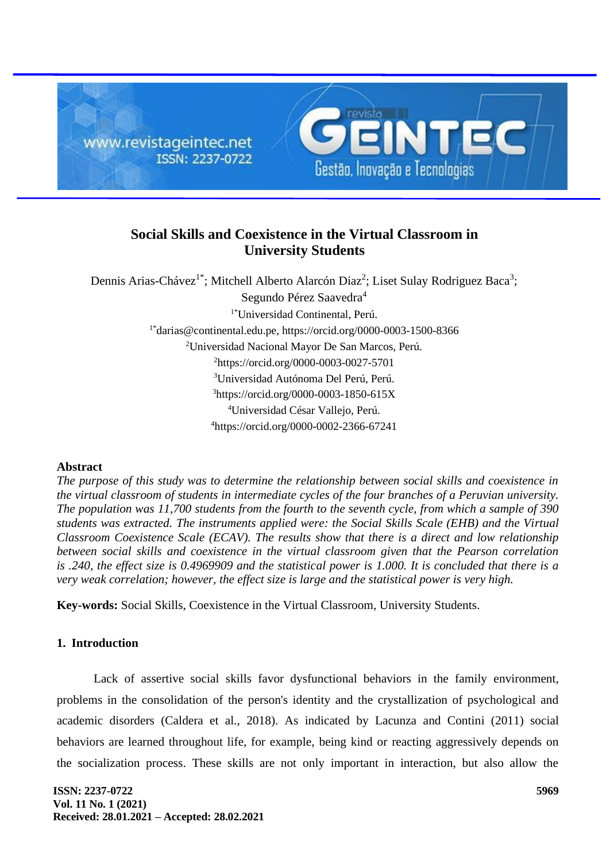

# **Social Skills and Coexistence in the Virtual Classroom in University Students**

Dennis Arias-Chávez<sup>1\*</sup>; Mitchell Alberto Alarcón Diaz<sup>2</sup>; Liset Sulay Rodriguez Baca<sup>3</sup>; Segundo Pérez Saavedra<sup>4</sup> 1\*Universidad Continental, Perú.  $1*$ [darias@continental.edu.pe,](mailto:1*darias@continental.edu.pe) https://orcid.org/0000-0003-1500-8366 <sup>2</sup>Universidad Nacional Mayor De San Marcos, Perú. <sup>2</sup>https://orcid.org/0000-0003-0027-5701 <sup>3</sup>Universidad Autónoma Del Perú, Perú. <sup>3</sup>https://orcid.org/0000-0003-1850-615X <sup>4</sup>Universidad César Vallejo, Perú. <sup>4</sup>https://orcid.org/0000-0002-2366-67241

### **Abstract**

*The purpose of this study was to determine the relationship between social skills and coexistence in the virtual classroom of students in intermediate cycles of the four branches of a Peruvian university. The population was 11,700 students from the fourth to the seventh cycle, from which a sample of 390 students was extracted. The instruments applied were: the Social Skills Scale (EHB) and the Virtual Classroom Coexistence Scale (ECAV). The results show that there is a direct and low relationship between social skills and coexistence in the virtual classroom given that the Pearson correlation is .240, the effect size is 0.4969909 and the statistical power is 1.000. It is concluded that there is a very weak correlation; however, the effect size is large and the statistical power is very high.*

**Key-words:** Social Skills, Coexistence in the Virtual Classroom, University Students.

### **1. Introduction**

Lack of assertive social skills favor dysfunctional behaviors in the family environment, problems in the consolidation of the person's identity and the crystallization of psychological and academic disorders (Caldera et al., 2018). As indicated by Lacunza and Contini (2011) social behaviors are learned throughout life, for example, being kind or reacting aggressively depends on the socialization process. These skills are not only important in interaction, but also allow the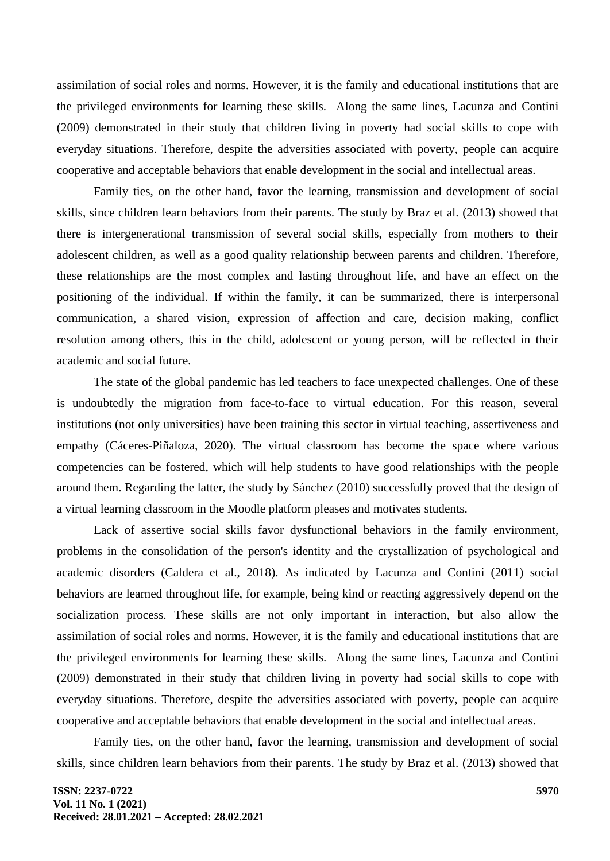assimilation of social roles and norms. However, it is the family and educational institutions that are the privileged environments for learning these skills. Along the same lines, Lacunza and Contini (2009) demonstrated in their study that children living in poverty had social skills to cope with everyday situations. Therefore, despite the adversities associated with poverty, people can acquire cooperative and acceptable behaviors that enable development in the social and intellectual areas.

Family ties, on the other hand, favor the learning, transmission and development of social skills, since children learn behaviors from their parents. The study by Braz et al. (2013) showed that there is intergenerational transmission of several social skills, especially from mothers to their adolescent children, as well as a good quality relationship between parents and children. Therefore, these relationships are the most complex and lasting throughout life, and have an effect on the positioning of the individual. If within the family, it can be summarized, there is interpersonal communication, a shared vision, expression of affection and care, decision making, conflict resolution among others, this in the child, adolescent or young person, will be reflected in their academic and social future.

The state of the global pandemic has led teachers to face unexpected challenges. One of these is undoubtedly the migration from face-to-face to virtual education. For this reason, several institutions (not only universities) have been training this sector in virtual teaching, assertiveness and empathy (Cáceres-Piñaloza, 2020). The virtual classroom has become the space where various competencies can be fostered, which will help students to have good relationships with the people around them. Regarding the latter, the study by Sánchez (2010) successfully proved that the design of a virtual learning classroom in the Moodle platform pleases and motivates students.

Lack of assertive social skills favor dysfunctional behaviors in the family environment, problems in the consolidation of the person's identity and the crystallization of psychological and academic disorders (Caldera et al., 2018). As indicated by Lacunza and Contini (2011) social behaviors are learned throughout life, for example, being kind or reacting aggressively depend on the socialization process. These skills are not only important in interaction, but also allow the assimilation of social roles and norms. However, it is the family and educational institutions that are the privileged environments for learning these skills. Along the same lines, Lacunza and Contini (2009) demonstrated in their study that children living in poverty had social skills to cope with everyday situations. Therefore, despite the adversities associated with poverty, people can acquire cooperative and acceptable behaviors that enable development in the social and intellectual areas.

Family ties, on the other hand, favor the learning, transmission and development of social skills, since children learn behaviors from their parents. The study by Braz et al. (2013) showed that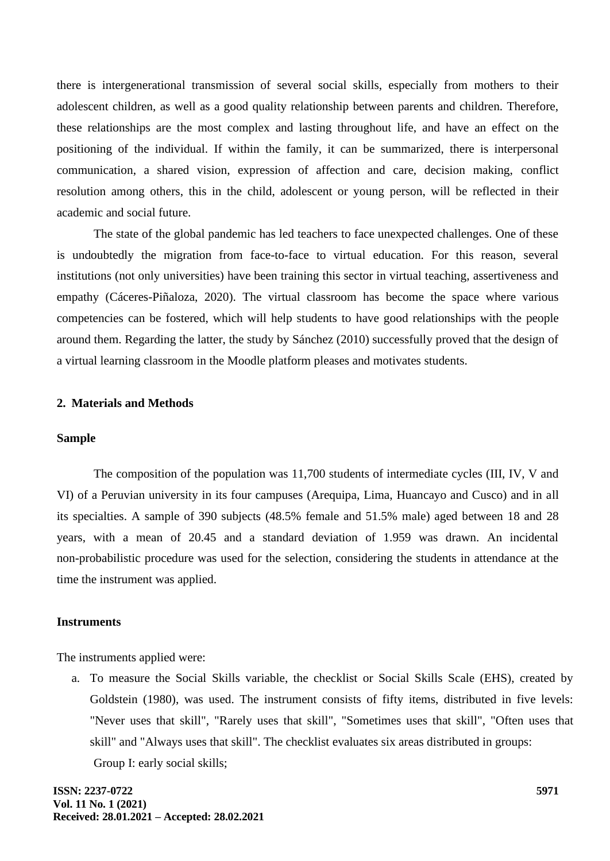there is intergenerational transmission of several social skills, especially from mothers to their adolescent children, as well as a good quality relationship between parents and children. Therefore, these relationships are the most complex and lasting throughout life, and have an effect on the positioning of the individual. If within the family, it can be summarized, there is interpersonal communication, a shared vision, expression of affection and care, decision making, conflict resolution among others, this in the child, adolescent or young person, will be reflected in their academic and social future.

The state of the global pandemic has led teachers to face unexpected challenges. One of these is undoubtedly the migration from face-to-face to virtual education. For this reason, several institutions (not only universities) have been training this sector in virtual teaching, assertiveness and empathy (Cáceres-Piñaloza, 2020). The virtual classroom has become the space where various competencies can be fostered, which will help students to have good relationships with the people around them. Regarding the latter, the study by Sánchez (2010) successfully proved that the design of a virtual learning classroom in the Moodle platform pleases and motivates students.

#### **2. Materials and Methods**

#### **Sample**

The composition of the population was 11,700 students of intermediate cycles (III, IV, V and VI) of a Peruvian university in its four campuses (Arequipa, Lima, Huancayo and Cusco) and in all its specialties. A sample of 390 subjects (48.5% female and 51.5% male) aged between 18 and 28 years, with a mean of 20.45 and a standard deviation of 1.959 was drawn. An incidental non-probabilistic procedure was used for the selection, considering the students in attendance at the time the instrument was applied.

#### **Instruments**

The instruments applied were:

a. To measure the Social Skills variable, the checklist or Social Skills Scale (EHS), created by Goldstein (1980), was used. The instrument consists of fifty items, distributed in five levels: "Never uses that skill", "Rarely uses that skill", "Sometimes uses that skill", "Often uses that skill" and "Always uses that skill". The checklist evaluates six areas distributed in groups: Group I: early social skills;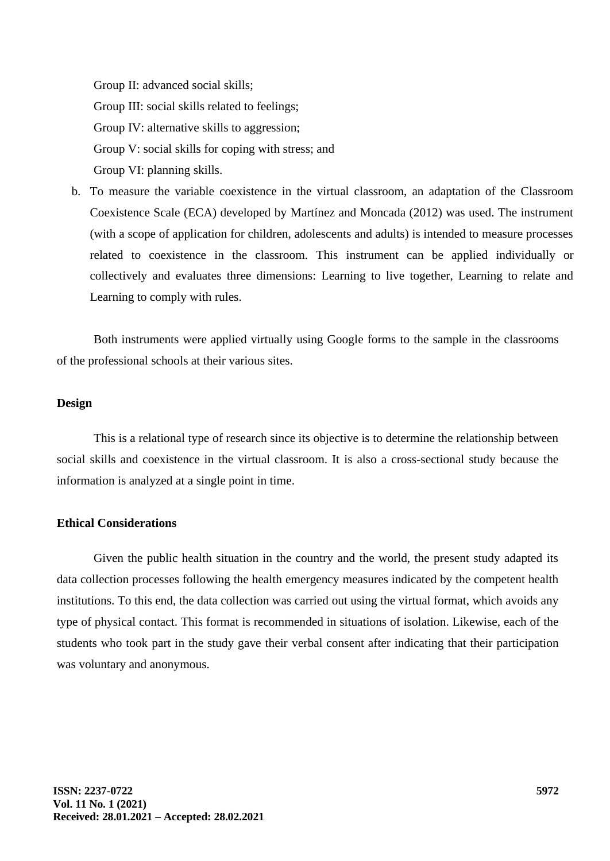Group II: advanced social skills; Group III: social skills related to feelings; Group IV: alternative skills to aggression; Group V: social skills for coping with stress; and Group VI: planning skills.

b. To measure the variable coexistence in the virtual classroom, an adaptation of the Classroom Coexistence Scale (ECA) developed by Martínez and Moncada (2012) was used. The instrument (with a scope of application for children, adolescents and adults) is intended to measure processes related to coexistence in the classroom. This instrument can be applied individually or collectively and evaluates three dimensions: Learning to live together, Learning to relate and Learning to comply with rules.

Both instruments were applied virtually using Google forms to the sample in the classrooms of the professional schools at their various sites.

#### **Design**

This is a relational type of research since its objective is to determine the relationship between social skills and coexistence in the virtual classroom. It is also a cross-sectional study because the information is analyzed at a single point in time.

### **Ethical Considerations**

Given the public health situation in the country and the world, the present study adapted its data collection processes following the health emergency measures indicated by the competent health institutions. To this end, the data collection was carried out using the virtual format, which avoids any type of physical contact. This format is recommended in situations of isolation. Likewise, each of the students who took part in the study gave their verbal consent after indicating that their participation was voluntary and anonymous.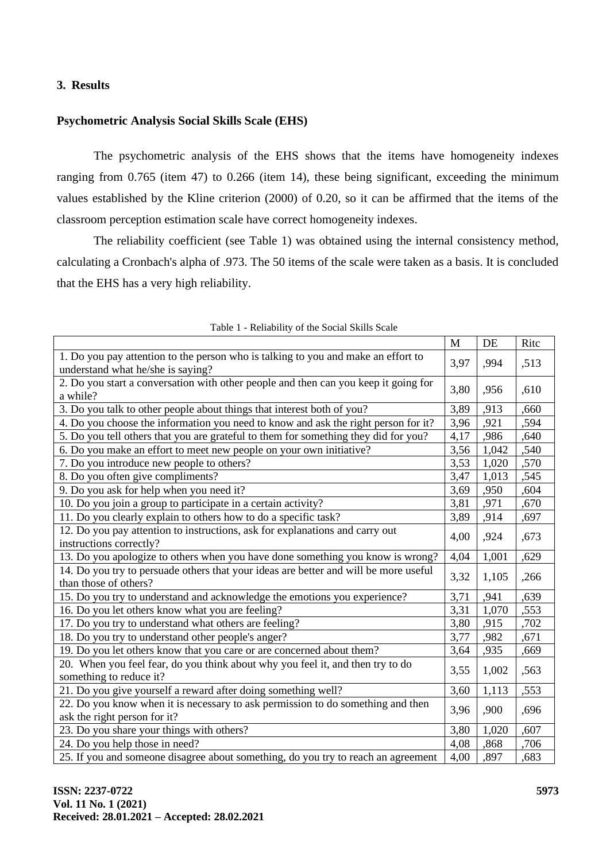### **3. Results**

### **Psychometric Analysis Social Skills Scale (EHS)**

The psychometric analysis of the EHS shows that the items have homogeneity indexes ranging from 0.765 (item 47) to 0.266 (item 14), these being significant, exceeding the minimum values established by the Kline criterion (2000) of 0.20, so it can be affirmed that the items of the classroom perception estimation scale have correct homogeneity indexes.

The reliability coefficient (see Table 1) was obtained using the internal consistency method, calculating a Cronbach's alpha of .973. The 50 items of the scale were taken as a basis. It is concluded that the EHS has a very high reliability.

|                                                                                                                        | $\mathbf{M}$ | DE    | Ritc |
|------------------------------------------------------------------------------------------------------------------------|--------------|-------|------|
| 1. Do you pay attention to the person who is talking to you and make an effort to<br>understand what he/she is saying? | 3,97         | ,994  | ,513 |
| 2. Do you start a conversation with other people and then can you keep it going for<br>a while?                        | 3,80         | ,956  | ,610 |
| 3. Do you talk to other people about things that interest both of you?                                                 | 3,89         | ,913  | ,660 |
| 4. Do you choose the information you need to know and ask the right person for it?                                     | 3,96         | ,921  | ,594 |
| 5. Do you tell others that you are grateful to them for something they did for you?                                    | 4,17         | ,986  | ,640 |
| 6. Do you make an effort to meet new people on your own initiative?                                                    | 3,56         | 1,042 | ,540 |
| 7. Do you introduce new people to others?                                                                              | 3,53         | 1,020 | ,570 |
| 8. Do you often give compliments?                                                                                      | 3,47         | 1,013 | ,545 |
| 9. Do you ask for help when you need it?                                                                               | 3,69         | ,950  | ,604 |
| 10. Do you join a group to participate in a certain activity?                                                          | 3,81         | ,971  | ,670 |
| 11. Do you clearly explain to others how to do a specific task?                                                        | 3,89         | ,914  | ,697 |
| 12. Do you pay attention to instructions, ask for explanations and carry out<br>instructions correctly?                | 4,00         | ,924  | ,673 |
| 13. Do you apologize to others when you have done something you know is wrong?                                         | 4,04         | 1,001 | ,629 |
| 14. Do you try to persuade others that your ideas are better and will be more useful<br>than those of others?          | 3,32         | 1,105 | ,266 |
| 15. Do you try to understand and acknowledge the emotions you experience?                                              | 3,71         | ,941  | ,639 |
| 16. Do you let others know what you are feeling?                                                                       | 3,31         | 1,070 | ,553 |
| 17. Do you try to understand what others are feeling?                                                                  | 3,80         | ,915  | ,702 |
| 18. Do you try to understand other people's anger?                                                                     | 3,77         | ,982  | ,671 |
| 19. Do you let others know that you care or are concerned about them?                                                  | 3,64         | ,935  | ,669 |
| 20. When you feel fear, do you think about why you feel it, and then try to do<br>something to reduce it?              | 3,55         | 1,002 | ,563 |
| 21. Do you give yourself a reward after doing something well?                                                          | 3,60         | 1,113 | ,553 |
| 22. Do you know when it is necessary to ask permission to do something and then<br>ask the right person for it?        | 3,96         | ,900  | ,696 |
| 23. Do you share your things with others?                                                                              | 3,80         | 1,020 | ,607 |
| 24. Do you help those in need?                                                                                         | 4,08         | ,868  | ,706 |
| 25. If you and someone disagree about something, do you try to reach an agreement                                      | 4,00         | ,897  | ,683 |

Table 1 - Reliability of the Social Skills Scale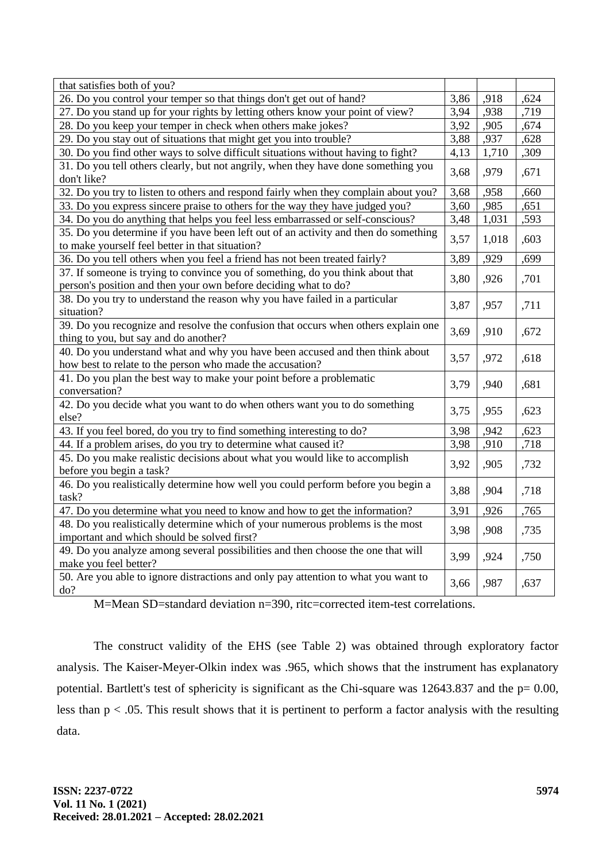| that satisfies both of you?                                                                                                                       |      |       |      |
|---------------------------------------------------------------------------------------------------------------------------------------------------|------|-------|------|
| 26. Do you control your temper so that things don't get out of hand?                                                                              | 3,86 | ,918  | ,624 |
| 27. Do you stand up for your rights by letting others know your point of view?                                                                    | 3,94 | ,938  | ,719 |
| 28. Do you keep your temper in check when others make jokes?                                                                                      | 3,92 | ,905  | ,674 |
| 29. Do you stay out of situations that might get you into trouble?                                                                                | 3,88 | ,937  | ,628 |
| 30. Do you find other ways to solve difficult situations without having to fight?                                                                 | 4,13 | 1,710 | ,309 |
| 31. Do you tell others clearly, but not angrily, when they have done something you<br>don't like?                                                 | 3,68 | ,979  | ,671 |
| 32. Do you try to listen to others and respond fairly when they complain about you?                                                               | 3,68 | ,958  | ,660 |
| 33. Do you express sincere praise to others for the way they have judged you?                                                                     | 3,60 | ,985  | ,651 |
| 34. Do you do anything that helps you feel less embarrassed or self-conscious?                                                                    | 3,48 | 1,031 | ,593 |
| 35. Do you determine if you have been left out of an activity and then do something<br>to make yourself feel better in that situation?            | 3,57 | 1,018 | ,603 |
| 36. Do you tell others when you feel a friend has not been treated fairly?                                                                        | 3,89 | ,929  | ,699 |
| 37. If someone is trying to convince you of something, do you think about that<br>person's position and then your own before deciding what to do? | 3,80 | ,926  | ,701 |
| 38. Do you try to understand the reason why you have failed in a particular<br>situation?                                                         | 3,87 | ,957  | ,711 |
| 39. Do you recognize and resolve the confusion that occurs when others explain one<br>thing to you, but say and do another?                       | 3,69 | ,910  | ,672 |
| 40. Do you understand what and why you have been accused and then think about                                                                     |      |       |      |
| how best to relate to the person who made the accusation?                                                                                         | 3,57 | ,972  | ,618 |
| 41. Do you plan the best way to make your point before a problematic<br>conversation?                                                             | 3,79 | ,940  | ,681 |
| 42. Do you decide what you want to do when others want you to do something<br>else?                                                               | 3,75 | ,955  | ,623 |
| 43. If you feel bored, do you try to find something interesting to do?                                                                            | 3,98 | ,942  | ,623 |
| 44. If a problem arises, do you try to determine what caused it?                                                                                  | 3,98 | ,910  | ,718 |
| 45. Do you make realistic decisions about what you would like to accomplish<br>before you begin a task?                                           | 3,92 | ,905  | ,732 |
| 46. Do you realistically determine how well you could perform before you begin a<br>task?                                                         | 3,88 | ,904  | ,718 |
| 47. Do you determine what you need to know and how to get the information?                                                                        | 3,91 | ,926  | ,765 |
| 48. Do you realistically determine which of your numerous problems is the most<br>important and which should be solved first?                     | 3,98 | ,908  | ,735 |
| 49. Do you analyze among several possibilities and then choose the one that will<br>make you feel better?                                         | 3,99 | ,924  | ,750 |
| 50. Are you able to ignore distractions and only pay attention to what you want to<br>do?                                                         | 3,66 | ,987  | ,637 |

M=Mean SD=standard deviation n=390, ritc=corrected item-test correlations.

The construct validity of the EHS (see Table 2) was obtained through exploratory factor analysis. The Kaiser-Meyer-Olkin index was .965, which shows that the instrument has explanatory potential. Bartlett's test of sphericity is significant as the Chi-square was 12643.837 and the  $p= 0.00$ , less than p < .05. This result shows that it is pertinent to perform a factor analysis with the resulting data.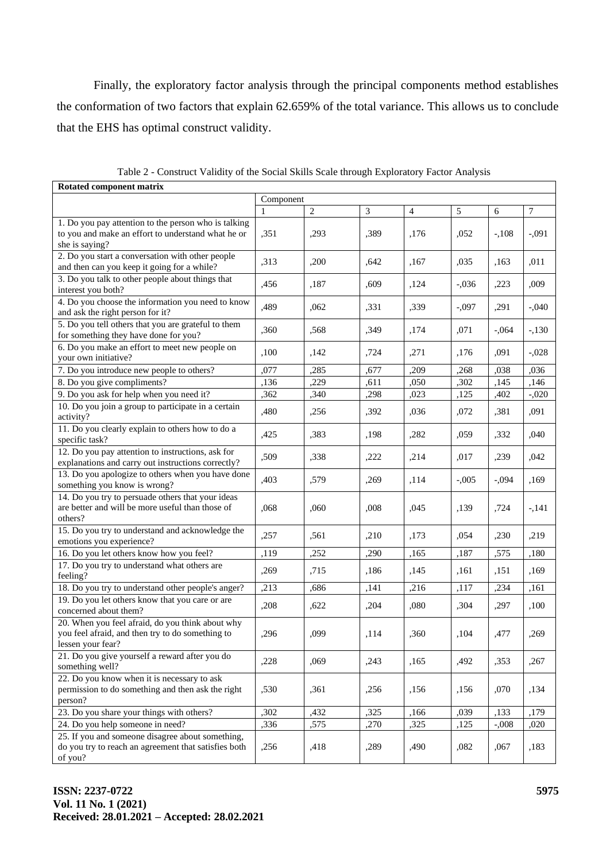Finally, the exploratory factor analysis through the principal components method establishes the conformation of two factors that explain 62.659% of the total variance. This allows us to conclude that the EHS has optimal construct validity.

| Rotated component matrix                                                                                                     |           |                |      |                |          |         |         |
|------------------------------------------------------------------------------------------------------------------------------|-----------|----------------|------|----------------|----------|---------|---------|
|                                                                                                                              | Component |                |      |                |          |         |         |
|                                                                                                                              | 1         | $\overline{2}$ | 3    | $\overline{4}$ | 5        | 6       | 7       |
| 1. Do you pay attention to the person who is talking<br>to you and make an effort to understand what he or<br>she is saying? | ,351      | ,293           | ,389 | ,176           | ,052     | $-108$  | $-.091$ |
| 2. Do you start a conversation with other people<br>and then can you keep it going for a while?                              | ,313      | ,200           | .642 | ,167           | ,035     | ,163    | ,011    |
| 3. Do you talk to other people about things that<br>interest you both?                                                       | ,456      | ,187           | ,609 | ,124           | $-.036$  | ,223    | ,009    |
| 4. Do you choose the information you need to know<br>and ask the right person for it?                                        | ,489      | ,062           | ,331 | ,339           | $-0.097$ | ,291    | $-.040$ |
| 5. Do you tell others that you are grateful to them<br>for something they have done for you?                                 | ,360      | ,568           | ,349 | ,174           | ,071     | $-.064$ | $-.130$ |
| 6. Do you make an effort to meet new people on<br>your own initiative?                                                       | ,100      | ,142           | ,724 | ,271           | ,176     | ,091    | $-.028$ |
| 7. Do you introduce new people to others?                                                                                    | ,077      | ,285           | ,677 | ,209           | ,268     | ,038    | ,036    |
| 8. Do you give compliments?                                                                                                  | ,136      | ,229           | ,611 | ,050           | ,302     | ,145    | ,146    |
| 9. Do you ask for help when you need it?                                                                                     | ,362      | ,340           | ,298 | ,023           | ,125     | ,402    | $-.020$ |
| 10. Do you join a group to participate in a certain<br>activity?                                                             | ,480      | ,256           | ,392 | ,036           | ,072     | ,381    | ,091    |
| 11. Do you clearly explain to others how to do a<br>specific task?                                                           | ,425      | ,383           | ,198 | ,282           | ,059     | ,332    | ,040    |
| 12. Do you pay attention to instructions, ask for<br>explanations and carry out instructions correctly?                      | ,509      | ,338           | ,222 | ,214           | ,017     | ,239    | ,042    |
| 13. Do you apologize to others when you have done<br>something you know is wrong?                                            | ,403      | ,579           | ,269 | ,114           | $-.005$  | $-.094$ | ,169    |
| 14. Do you try to persuade others that your ideas<br>are better and will be more useful than those of<br>others?             | ,068      | .060           | ,008 | ,045           | ,139     | ,724    | $-141$  |
| 15. Do you try to understand and acknowledge the<br>emotions you experience?                                                 | ,257      | ,561           | ,210 | ,173           | ,054     | ,230    | ,219    |
| 16. Do you let others know how you feel?                                                                                     | ,119      | ,252           | ,290 | ,165           | ,187     | ,575    | ,180    |
| 17. Do you try to understand what others are<br>feeling?                                                                     | ,269      | ,715           | ,186 | ,145           | ,161     | ,151    | ,169    |
| 18. Do you try to understand other people's anger?                                                                           | ,213      | ,686           | ,141 | ,216           | ,117     | ,234    | ,161    |
| 19. Do you let others know that you care or are<br>concerned about them?                                                     | ,208      | ,622           | ,204 | ,080           | ,304     | ,297    | ,100    |
| 20. When you feel afraid, do you think about why<br>you feel afraid, and then try to do something to<br>lessen your fear?    | ,296      | ,099           | ,114 | ,360           | ,104     | ,477    | ,269    |
| 21. Do you give yourself a reward after you do<br>something well?                                                            | ,228      | ,069           | ,243 | ,165           | ,492     | ,353    | ,267    |
| 22. Do you know when it is necessary to ask<br>permission to do something and then ask the right<br>person?                  | ,530      | ,361           | ,256 | ,156           | ,156     | ,070    | ,134    |
| 23. Do you share your things with others?                                                                                    | ,302      | ,432           | ,325 | ,166           | ,039     | ,133    | ,179    |
| 24. Do you help someone in need?                                                                                             | ,336      | ,575           | ,270 | ,325           | ,125     | $-.008$ | ,020    |
| 25. If you and someone disagree about something,<br>do you try to reach an agreement that satisfies both<br>of you?          | ,256      | ,418           | ,289 | ,490           | ,082     | ,067    | ,183    |

Table 2 - Construct Validity of the Social Skills Scale through Exploratory Factor Analysis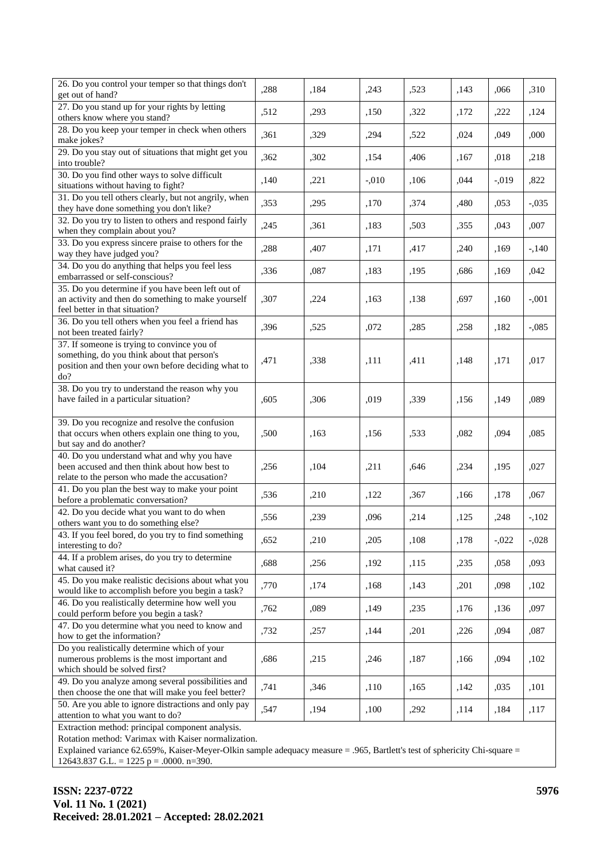| 26. Do you control your temper so that things don't<br>get out of hand?                                                                                 | ,288 | ,184 | ,243    | ,523 | ,143 | ,066     | ,310    |
|---------------------------------------------------------------------------------------------------------------------------------------------------------|------|------|---------|------|------|----------|---------|
| 27. Do you stand up for your rights by letting<br>others know where you stand?                                                                          | ,512 | ,293 | ,150    | ,322 | ,172 | ,222     | ,124    |
| 28. Do you keep your temper in check when others<br>make jokes?                                                                                         | ,361 | ,329 | ,294    | ,522 | ,024 | ,049     | ,000    |
| 29. Do you stay out of situations that might get you<br>into trouble?                                                                                   | ,362 | ,302 | ,154    | ,406 | ,167 | ,018     | ,218    |
| 30. Do you find other ways to solve difficult<br>situations without having to fight?                                                                    | ,140 | ,221 | $-.010$ | ,106 | ,044 | $-0.019$ | ,822    |
| 31. Do you tell others clearly, but not angrily, when<br>they have done something you don't like?                                                       | ,353 | ,295 | ,170    | ,374 | ,480 | ,053     | $-.035$ |
| 32. Do you try to listen to others and respond fairly<br>when they complain about you?                                                                  | ,245 | ,361 | ,183    | ,503 | ,355 | ,043     | ,007    |
| 33. Do you express sincere praise to others for the<br>way they have judged you?                                                                        | ,288 | ,407 | ,171    | ,417 | ,240 | ,169     | $-140$  |
| 34. Do you do anything that helps you feel less<br>embarrassed or self-conscious?                                                                       | ,336 | ,087 | ,183    | ,195 | ,686 | ,169     | ,042    |
| 35. Do you determine if you have been left out of<br>an activity and then do something to make yourself<br>feel better in that situation?               | ,307 | ,224 | ,163    | ,138 | ,697 | ,160     | $-.001$ |
| 36. Do you tell others when you feel a friend has<br>not been treated fairly?                                                                           | ,396 | ,525 | ,072    | ,285 | ,258 | ,182     | $-.085$ |
| 37. If someone is trying to convince you of<br>something, do you think about that person's<br>position and then your own before deciding what to<br>do? | ,471 | ,338 | ,111    | ,411 | ,148 | ,171     | ,017    |
| 38. Do you try to understand the reason why you<br>have failed in a particular situation?                                                               | ,605 | ,306 | ,019    | ,339 | ,156 | ,149     | ,089    |
| 39. Do you recognize and resolve the confusion<br>that occurs when others explain one thing to you,<br>but say and do another?                          | ,500 | ,163 | ,156    | ,533 | ,082 | ,094     | ,085    |
| 40. Do you understand what and why you have<br>been accused and then think about how best to<br>relate to the person who made the accusation?           | ,256 | ,104 | ,211    | ,646 | ,234 | ,195     | ,027    |
| 41. Do you plan the best way to make your point<br>before a problematic conversation?                                                                   | ,536 | ,210 | ,122    | ,367 | ,166 | ,178     | ,067    |
| 42. Do you decide what you want to do when<br>others want you to do something else?                                                                     | ,556 | ,239 | ,096    | ,214 | ,125 | ,248     | $-102$  |
| 43. If you feel bored, do you try to find something<br>interesting to do?                                                                               | ,652 | ,210 | ,205    | ,108 | ,178 | $-.022$  | $-.028$ |
| 44. If a problem arises, do you try to determine<br>what caused it?                                                                                     | ,688 | ,256 | ,192    | ,115 | ,235 | ,058     | ,093    |
| 45. Do you make realistic decisions about what you<br>would like to accomplish before you begin a task?                                                 | ,770 | ,174 | ,168    | ,143 | ,201 | ,098     | ,102    |
| 46. Do you realistically determine how well you<br>could perform before you begin a task?                                                               | ,762 | ,089 | ,149    | ,235 | ,176 | ,136     | ,097    |
| 47. Do you determine what you need to know and<br>how to get the information?                                                                           | ,732 | ,257 | ,144    | ,201 | ,226 | ,094     | ,087    |
| Do you realistically determine which of your<br>numerous problems is the most important and<br>which should be solved first?                            | ,686 | ,215 | ,246    | ,187 | ,166 | ,094     | ,102    |
| 49. Do you analyze among several possibilities and<br>then choose the one that will make you feel better?                                               | ,741 | ,346 | ,110    | ,165 | ,142 | ,035     | ,101    |
| 50. Are you able to ignore distractions and only pay<br>attention to what you want to do?                                                               | ,547 | ,194 | ,100    | ,292 | ,114 | ,184     | ,117    |
| Extraction method: principal component analysis.                                                                                                        |      |      |         |      |      |          |         |

Rotation method: Varimax with Kaiser normalization.

Explained variance 62.659%, Kaiser-Meyer-Olkin sample adequacy measure = .965, Bartlett's test of sphericity Chi-square = 12643.837 G.L. = 1225 p = .0000. n=390.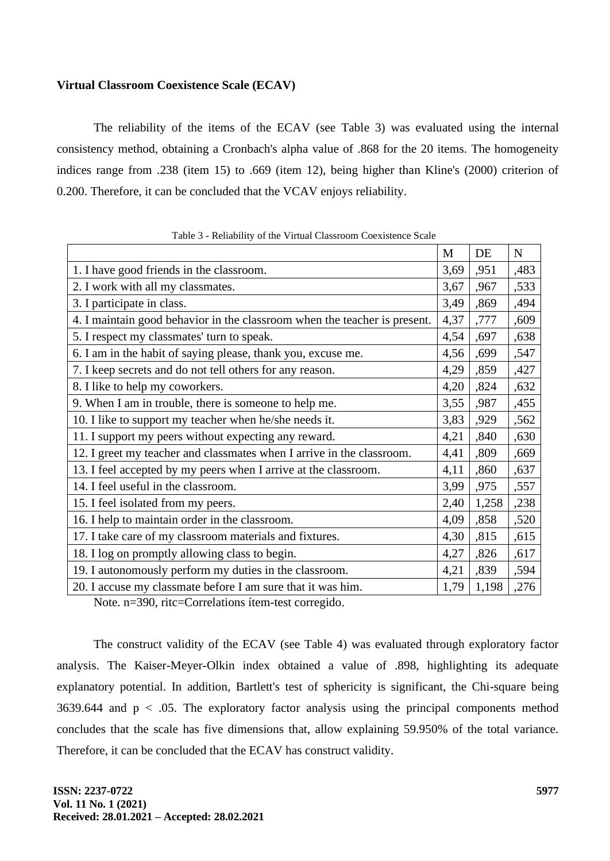### **Virtual Classroom Coexistence Scale (ECAV)**

The reliability of the items of the ECAV (see Table 3) was evaluated using the internal consistency method, obtaining a Cronbach's alpha value of .868 for the 20 items. The homogeneity indices range from .238 (item 15) to .669 (item 12), being higher than Kline's (2000) criterion of 0.200. Therefore, it can be concluded that the VCAV enjoys reliability.

|                                                                           | M    | DE    | $\mathbf N$ |
|---------------------------------------------------------------------------|------|-------|-------------|
| 1. I have good friends in the classroom.                                  | 3,69 | ,951  | ,483        |
| 2. I work with all my classmates.                                         | 3,67 | ,967  | ,533        |
| 3. I participate in class.                                                | 3,49 | ,869  | ,494        |
| 4. I maintain good behavior in the classroom when the teacher is present. | 4,37 | ,777  | ,609        |
| 5. I respect my classmates' turn to speak.                                | 4,54 | ,697  | ,638        |
| 6. I am in the habit of saying please, thank you, excuse me.              | 4,56 | ,699  | ,547        |
| 7. I keep secrets and do not tell others for any reason.                  | 4,29 | ,859  | ,427        |
| 8. I like to help my coworkers.                                           | 4,20 | ,824  | ,632        |
| 9. When I am in trouble, there is someone to help me.                     | 3,55 | ,987  | ,455        |
| 10. I like to support my teacher when he/she needs it.                    | 3,83 | ,929  | ,562        |
| 11. I support my peers without expecting any reward.                      | 4,21 | ,840  | ,630        |
| 12. I greet my teacher and classmates when I arrive in the classroom.     | 4,41 | ,809  | ,669        |
| 13. I feel accepted by my peers when I arrive at the classroom.           | 4,11 | ,860  | ,637        |
| 14. I feel useful in the classroom.                                       | 3,99 | ,975  | ,557        |
| 15. I feel isolated from my peers.                                        | 2,40 | 1,258 | ,238        |
| 16. I help to maintain order in the classroom.                            | 4,09 | ,858  | ,520        |
| 17. I take care of my classroom materials and fixtures.                   | 4,30 | ,815  | ,615        |
| 18. I log on promptly allowing class to begin.                            | 4,27 | ,826  | ,617        |
| 19. I autonomously perform my duties in the classroom.                    | 4,21 | ,839  | ,594        |
| 20. I accuse my classmate before I am sure that it was him.               | 1,79 | 1,198 | ,276        |

Table 3 - Reliability of the Virtual Classroom Coexistence Scale

Note. n=390, ritc=Correlations ítem-test corregido.

The construct validity of the ECAV (see Table 4) was evaluated through exploratory factor analysis. The Kaiser-Meyer-Olkin index obtained a value of .898, highlighting its adequate explanatory potential. In addition, Bartlett's test of sphericity is significant, the Chi-square being 3639.644 and  $p < .05$ . The exploratory factor analysis using the principal components method concludes that the scale has five dimensions that, allow explaining 59.950% of the total variance. Therefore, it can be concluded that the ECAV has construct validity.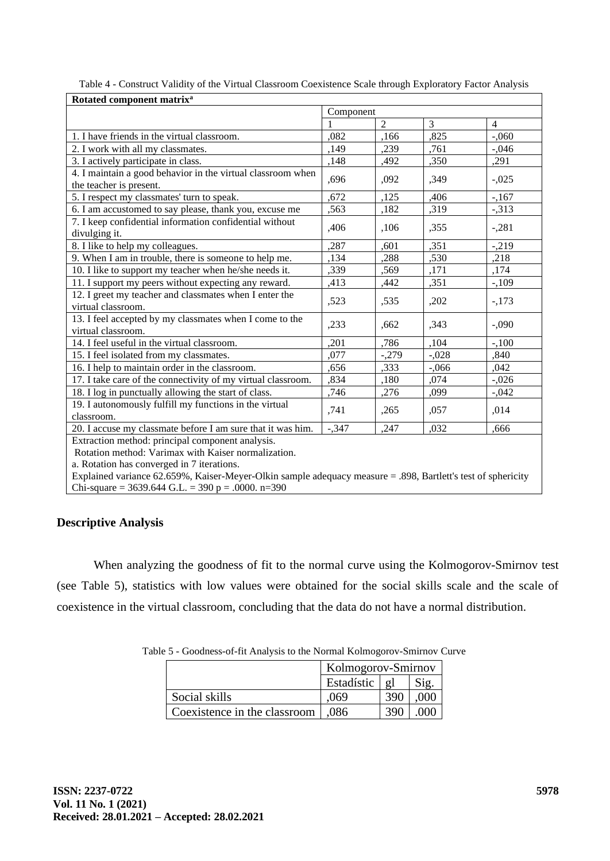| Rotated component matrix <sup>a</sup>                                                                        |           |                |                |                |  |  |
|--------------------------------------------------------------------------------------------------------------|-----------|----------------|----------------|----------------|--|--|
|                                                                                                              | Component |                |                |                |  |  |
|                                                                                                              |           | $\overline{2}$ | $\overline{3}$ | $\overline{4}$ |  |  |
| 1. I have friends in the virtual classroom.                                                                  | .082      | ,166           | ,825           | $-.060$        |  |  |
| 2. I work with all my classmates.                                                                            | ,149      | ,239           | ,761           | $-.046$        |  |  |
| 3. I actively participate in class.                                                                          | ,148      | ,492           | ,350           | ,291           |  |  |
| 4. I maintain a good behavior in the virtual classroom when                                                  |           |                |                |                |  |  |
| the teacher is present.                                                                                      | ,696      | ,092           | ,349           | $-.025$        |  |  |
| 5. I respect my classmates' turn to speak.                                                                   | .672      | ,125           | ,406           | $-167$         |  |  |
| 6. I am accustomed to say please, thank you, excuse me                                                       | ,563      | ,182           | ,319           | $-313$         |  |  |
| 7. I keep confidential information confidential without                                                      |           |                |                |                |  |  |
| divulging it.                                                                                                | ,406      | ,106           | ,355           | $-.281$        |  |  |
| 8. I like to help my colleagues.                                                                             | ,287      | ,601           | ,351           | $-219$         |  |  |
| 9. When I am in trouble, there is someone to help me.                                                        | ,134      | ,288           | ,530           | ,218           |  |  |
| 10. I like to support my teacher when he/she needs it.                                                       | ,339      | ,569           | ,171           | ,174           |  |  |
| 11. I support my peers without expecting any reward.                                                         | ,413      | ,442           | ,351           | $-109$         |  |  |
| 12. I greet my teacher and classmates when I enter the                                                       |           |                |                |                |  |  |
| virtual classroom.                                                                                           | ,523      | ,535           | ,202           | $-173$         |  |  |
| 13. I feel accepted by my classmates when I come to the                                                      |           |                |                |                |  |  |
| virtual classroom.                                                                                           | ,233      | ,662           | ,343           | $-.090$        |  |  |
| 14. I feel useful in the virtual classroom.                                                                  | ,201      | ,786           | ,104           | $-.100$        |  |  |
| 15. I feel isolated from my classmates.                                                                      | ,077      | $-.279$        | $-.028$        | ,840           |  |  |
| 16. I help to maintain order in the classroom.                                                               | ,656      | ,333           | $-.066$        | ,042           |  |  |
| 17. I take care of the connectivity of my virtual classroom.                                                 | ,834      | ,180           | ,074           | $-.026$        |  |  |
| 18. I log in punctually allowing the start of class.                                                         | ,746      | ,276           | ,099           | $-.042$        |  |  |
| 19. I autonomously fulfill my functions in the virtual                                                       |           |                |                |                |  |  |
| classroom.                                                                                                   | ,741      | ,265           | ,057           | ,014           |  |  |
| 20. I accuse my classmate before I am sure that it was him.                                                  | $-.347$   | ,247           | .032           | .666           |  |  |
| Extraction method: principal component analysis.                                                             |           |                |                |                |  |  |
| Rotation method: Varimax with Kaiser normalization.                                                          |           |                |                |                |  |  |
| a. Rotation has converged in 7 iterations.                                                                   |           |                |                |                |  |  |
| Explained variance 62.659%, Kaiser-Meyer-Olkin sample adequacy measure = .898, Bartlett's test of sphericity |           |                |                |                |  |  |
| Chi-square = 3639.644 G.L. = 390 p = .0000. n=390                                                            |           |                |                |                |  |  |

| Table 4 - Construct Validity of the Virtual Classroom Coexistence Scale through Exploratory Factor Analysis |
|-------------------------------------------------------------------------------------------------------------|
|-------------------------------------------------------------------------------------------------------------|

## **Descriptive Analysis**

When analyzing the goodness of fit to the normal curve using the Kolmogorov-Smirnov test (see Table 5), statistics with low values were obtained for the social skills scale and the scale of coexistence in the virtual classroom, concluding that the data do not have a normal distribution.

Table 5 - Goodness-of-fit Analysis to the Normal Kolmogorov-Smirnov Curve

|                              | Kolmogorov-Smirnov |                |         |
|------------------------------|--------------------|----------------|---------|
|                              | Estadístic         | $\mathfrak{g}$ | Sig.    |
| Social skills                | .069               | 390            | .000    |
| Coexistence in the classroom | .086               | 390            | $000 -$ |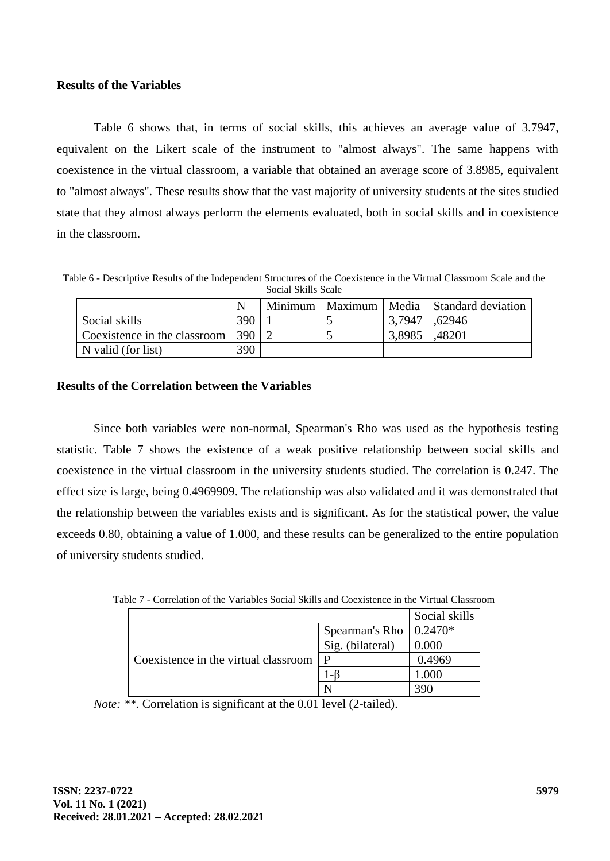#### **Results of the Variables**

Table 6 shows that, in terms of social skills, this achieves an average value of 3.7947, equivalent on the Likert scale of the instrument to "almost always". The same happens with coexistence in the virtual classroom, a variable that obtained an average score of 3.8985, equivalent to "almost always". These results show that the vast majority of university students at the sites studied state that they almost always perform the elements evaluated, both in social skills and in coexistence in the classroom.

Table 6 - Descriptive Results of the Independent Structures of the Coexistence in the Virtual Classroom Scale and the Social Skills Scale

|                              | N   | Minimum | Maximum |        | Media   Standard deviation |
|------------------------------|-----|---------|---------|--------|----------------------------|
| Social skills                | 390 |         |         | 3.7947 | .62946                     |
| Coexistence in the classroom | 390 |         |         | 3,8985 | .48201                     |
| N valid (for list)           | 390 |         |         |        |                            |

### **Results of the Correlation between the Variables**

Since both variables were non-normal, Spearman's Rho was used as the hypothesis testing statistic. Table 7 shows the existence of a weak positive relationship between social skills and coexistence in the virtual classroom in the university students studied. The correlation is 0.247. The effect size is large, being 0.4969909. The relationship was also validated and it was demonstrated that the relationship between the variables exists and is significant. As for the statistical power, the value exceeds 0.80, obtaining a value of 1.000, and these results can be generalized to the entire population of university students studied.

|                                      |                                | Social skills              |
|--------------------------------------|--------------------------------|----------------------------|
|                                      | Spearman's Rho $\vert 0.2470*$ |                            |
|                                      | Sig. (bilateral)               | 0.000                      |
| Coexistence in the virtual classroom |                                | 0.4969                     |
|                                      |                                | $\mathcal{L}(\mathcal{Y})$ |
|                                      |                                |                            |

Table 7 - Correlation of the Variables Social Skills and Coexistence in the Virtual Classroom

*Note:* \*\*. Correlation is significant at the 0.01 level (2-tailed).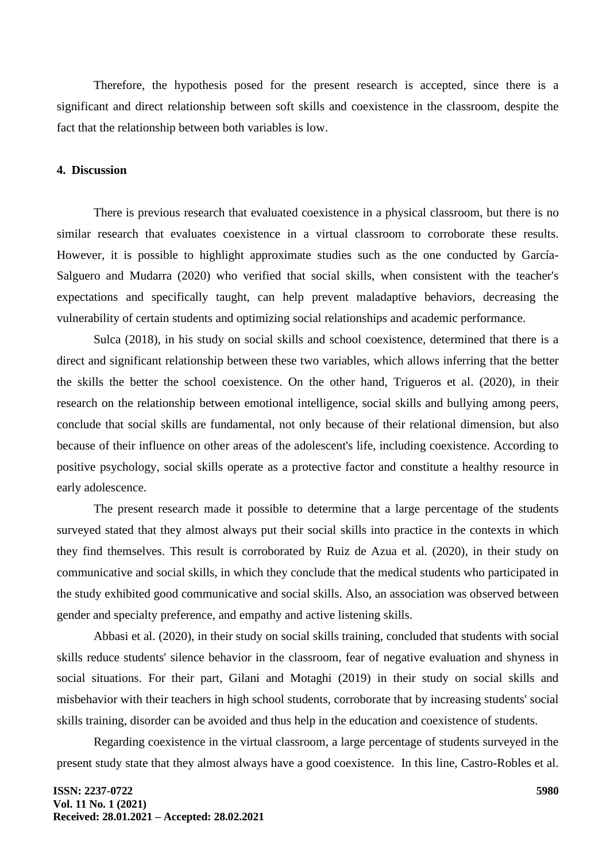Therefore, the hypothesis posed for the present research is accepted, since there is a significant and direct relationship between soft skills and coexistence in the classroom, despite the fact that the relationship between both variables is low.

#### **4. Discussion**

There is previous research that evaluated coexistence in a physical classroom, but there is no similar research that evaluates coexistence in a virtual classroom to corroborate these results. However, it is possible to highlight approximate studies such as the one conducted by García-Salguero and Mudarra (2020) who verified that social skills, when consistent with the teacher's expectations and specifically taught, can help prevent maladaptive behaviors, decreasing the vulnerability of certain students and optimizing social relationships and academic performance.

Sulca (2018), in his study on social skills and school coexistence, determined that there is a direct and significant relationship between these two variables, which allows inferring that the better the skills the better the school coexistence. On the other hand, Trigueros et al. (2020), in their research on the relationship between emotional intelligence, social skills and bullying among peers, conclude that social skills are fundamental, not only because of their relational dimension, but also because of their influence on other areas of the adolescent's life, including coexistence. According to positive psychology, social skills operate as a protective factor and constitute a healthy resource in early adolescence.

The present research made it possible to determine that a large percentage of the students surveyed stated that they almost always put their social skills into practice in the contexts in which they find themselves. This result is corroborated by Ruiz de Azua et al. (2020), in their study on communicative and social skills, in which they conclude that the medical students who participated in the study exhibited good communicative and social skills. Also, an association was observed between gender and specialty preference, and empathy and active listening skills.

Abbasi et al. (2020), in their study on social skills training, concluded that students with social skills reduce students' silence behavior in the classroom, fear of negative evaluation and shyness in social situations. For their part, Gilani and Motaghi (2019) in their study on social skills and misbehavior with their teachers in high school students, corroborate that by increasing students' social skills training, disorder can be avoided and thus help in the education and coexistence of students.

Regarding coexistence in the virtual classroom, a large percentage of students surveyed in the present study state that they almost always have a good coexistence. In this line, Castro-Robles et al.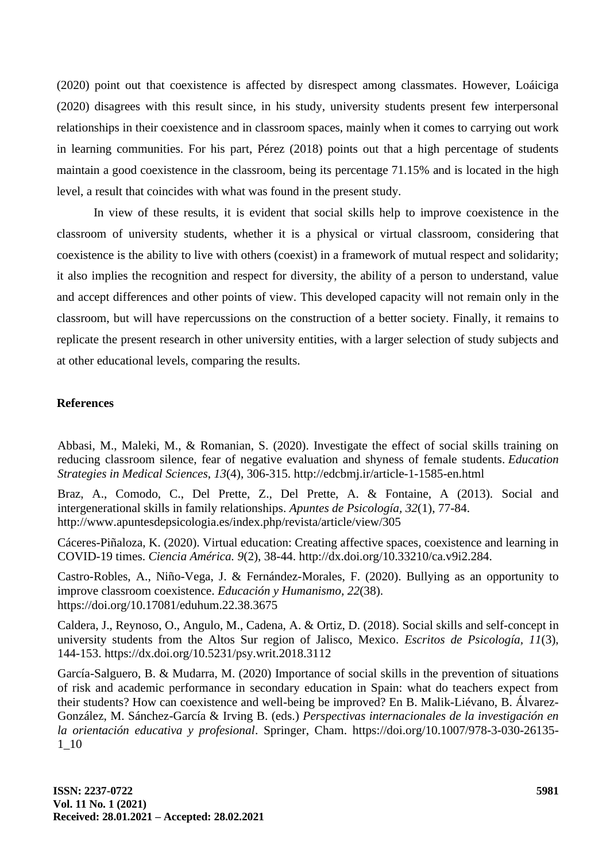(2020) point out that coexistence is affected by disrespect among classmates. However, Loáiciga (2020) disagrees with this result since, in his study, university students present few interpersonal relationships in their coexistence and in classroom spaces, mainly when it comes to carrying out work in learning communities. For his part, Pérez (2018) points out that a high percentage of students maintain a good coexistence in the classroom, being its percentage 71.15% and is located in the high level, a result that coincides with what was found in the present study.

In view of these results, it is evident that social skills help to improve coexistence in the classroom of university students, whether it is a physical or virtual classroom, considering that coexistence is the ability to live with others (coexist) in a framework of mutual respect and solidarity; it also implies the recognition and respect for diversity, the ability of a person to understand, value and accept differences and other points of view. This developed capacity will not remain only in the classroom, but will have repercussions on the construction of a better society. Finally, it remains to replicate the present research in other university entities, with a larger selection of study subjects and at other educational levels, comparing the results.

#### **References**

Abbasi, M., Maleki, M., & Romanian, S. (2020). Investigate the effect of social skills training on reducing classroom silence, fear of negative evaluation and shyness of female students. *Education Strategies in Medical Sciences*, *13*(4), 306-315. http://edcbmj.ir/article-1-1585-en.html

Braz, A., Comodo, C., Del Prette, Z., Del Prette, A. & Fontaine, A (2013). Social and intergenerational skills in family relationships. *Apuntes de Psicología, 32*(1), 77-84. http://www.apuntesdepsicologia.es/index.php/revista/article/view/305

Cáceres-Piñaloza, K. (2020). Virtual education: Creating affective spaces, coexistence and learning in COVID-19 times. *Ciencia América. 9*(2), 38-44. http://dx.doi.org/10.33210/ca.v9i2.284.

Castro-Robles, A., Niño-Vega, J. & Fernández-Morales, F. (2020). Bullying as an opportunity to improve classroom coexistence. *Educación y Humanismo, 22*(38). https://doi.org/10.17081/eduhum.22.38.3675

Caldera, J., Reynoso, O., Angulo, M., Cadena, A. & Ortiz, D. (2018). Social skills and self-concept in university students from the Altos Sur region of Jalisco, Mexico. *Escritos de Psicología, 11*(3), 144-153. https://dx.doi.org/10.5231/psy.writ.2018.3112

García-Salguero, B. & Mudarra, M. (2020) Importance of social skills in the prevention of situations of risk and academic performance in secondary education in Spain: what do teachers expect from their students? How can coexistence and well-being be improved? En B. Malik-Liévano, B. Álvarez-González, M. Sánchez-García & Irving B. (eds.) *Perspectivas internacionales de la investigación en la orientación educativa y profesional*. Springer, Cham. https://doi.org/10.1007/978-3-030-26135- 1\_10